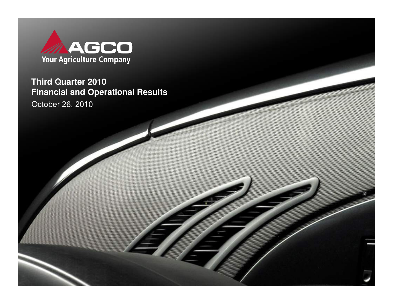

**Third Quarter 2010 Financial and Operational Results**

October 26, 2010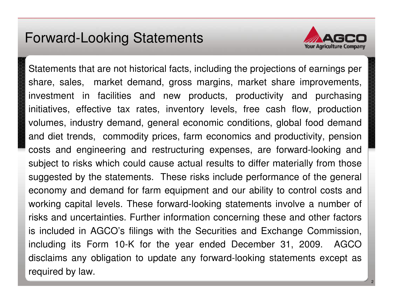#### Forward-Looking Statements



Statements that are not historical facts, including the projections of earnings per share, sales, market demand, gross margins, market share improvements, investment in facilities and new products, productivity and purchasing initiatives, effective tax rates, inventory levels, free cash flow, production volumes, industry demand, general economic conditions, global food demand and diet trends, commodity prices, farm economics and productivity, pension costs and engineering and restructuring expenses, are forward-looking and subject to risks which could cause actual results to differ materially from those suggested by the statements. These risks include performance of the general economy and demand for farm equipment and our ability to control costs and working capital levels. These forward-looking statements involve a number of risks and uncertainties. Further information concerning these and other factors is included in AGCO's filings with the Securities and Exchange Commission, including its Form 10-K for the year ended December 31, 2009. AGCO disclaims any obligation to update any forward-looking statements except as required by law.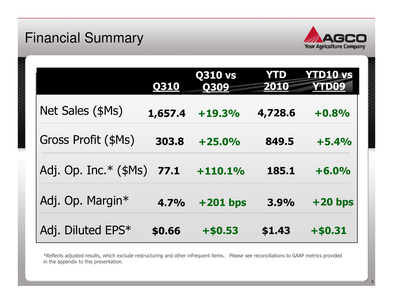#### Financial Summary



|                         | <b>Q310</b> | <b>Q310 vs</b><br>Q309 | <b>YTD</b><br><b>2010</b> | YTD10=vs<br>YTD09 |
|-------------------------|-------------|------------------------|---------------------------|-------------------|
| Net Sales (\$Ms)        | 1,657.4     | $+19.3%$               | 4,728.6                   | $+0.8%$           |
| Gross Profit (\$Ms)     | 303.8       | $+25.0%$               | 849.5                     | $+5.4%$           |
| Adj. Op. Inc. $*(\$Ms)$ | 77.1        | $+110.1%$              | 185.1                     | $+6.0%$           |
| Adj. Op. Margin*        | 4.7%        | $+201$ bps             | 3.9%                      | $+20$ bps         |
| Adj. Diluted EPS*       | \$0.66      | $+ $0.53$              | \$1.43                    | $+ $0.31$         |

\*Reflects adjusted results, which exclude restructuring and other infrequent items. Please see reconciliations to GAAP metrics provided in the appendix to this presentation.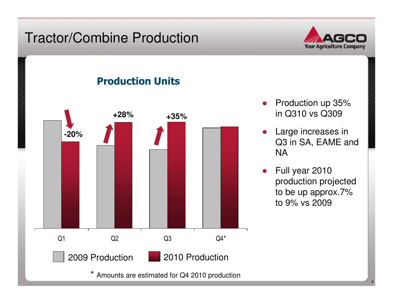#### Tractor/Combine Production



#### Production Units



- ● Production up 35% in Q310 vs Q309
- ● Large increases in Q3 in SA, EAME and NA
- $\bullet$  Full year 2010 production projected to be up approx.7% to 9% vs 2009

4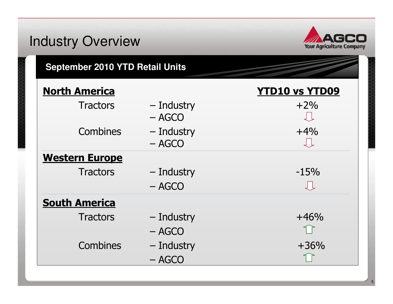#### Industry Overview**Your Agriculture Company September 2010 YTD Retail Units**North America**America**<br>Tractors - Industry - Tractors +2%  $-$  Industry  $+2\%$ <br>- AGCO – AGCO  $Combins$  – Industry  $+4\%$ <br> $- A G C Q$ – AGCO Western Europe $Tractors$  – Industry – 15%<br>– AGCO – AGCO **South America** Tractors – Industry  $+46\%$ – AGCO  $\begin{array}{cccc}\n \text{Combines} & - \text{ Industry} & +36\% \\
\text{ACG} & & \end{array}$ – AGCO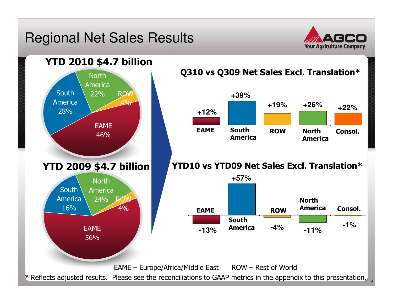#### Regional Net Sales Results



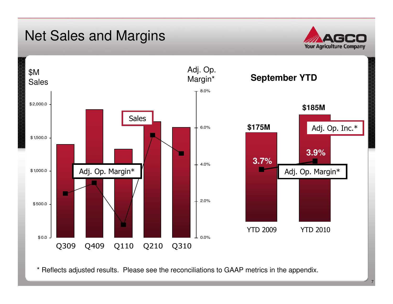#### Net Sales and Margins





\* Reflects adjusted results. Please see the reconciliations to GAAP metrics in the appendix.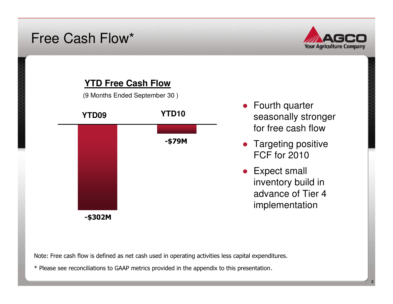#### Free Cash Flow\*





Note: Free cash flow is defined as net cash used in operating activities less capital expenditures.

\* Please see reconciliations to GAAP metrics provided in the appendix to this presentation.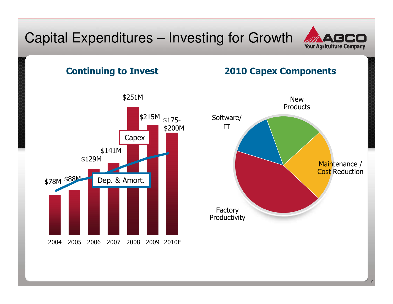#### Capital Expenditures – Investing for Growth



#### 2004 <sup>2005</sup> <sup>2006</sup> <sup>2007</sup> <sup>2008</sup> <sup>2009</sup> 2010EContinuing to Invest2010 Capex Components\$78M \$88M \$129M\$141M\$251MCapexDep. & Amort.Factory ProductivitySoftware/ IT\$215M <sub>\$175-</sub> \$200M

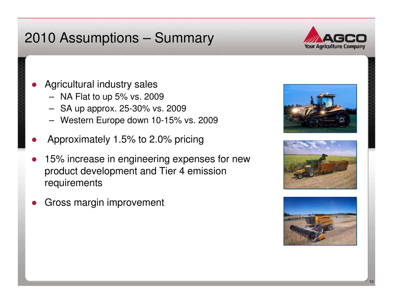## 2010 Assumptions – Summary



- ● Agricultural industry sales
	- NA Flat to up 5% vs. 2009
	- SA up approx. 25-30% vs. 2009
	- Western Europe down 10-15% vs. 2009
- ●Approximately 1.5% to 2.0% pricing
- ● 15% increase in engineering expenses for new product development and Tier 4 emission requirements
- ●Gross margin improvement





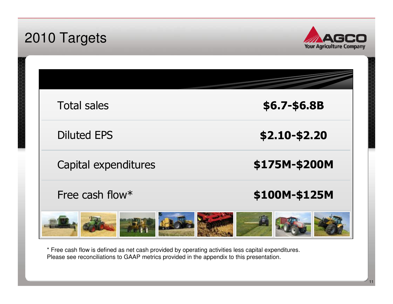| 2010 Targets                             | <b>Your Agriculture Company</b> |
|------------------------------------------|---------------------------------|
|                                          |                                 |
| <b>Total sales</b><br><b>Diluted EPS</b> | \$6.7-\$6.8B<br>\$2.10-\$2.20   |
| Capital expenditures                     | \$175M-\$200M                   |
| Free cash flow*                          | \$100M-\$125M                   |

\* Free cash flow is defined as net cash provided by operating activities less capital expenditures. Please see reconciliations to GAAP metrics provided in the appendix to this presentation.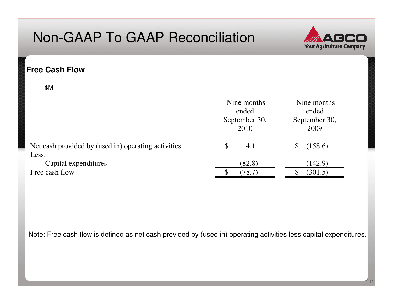

#### **Free Cash Flow**

\$M

|                                                     | Nine months<br>ended<br>September 30,<br>2010 | Nine months<br>ended<br>September 30,<br>2009 |
|-----------------------------------------------------|-----------------------------------------------|-----------------------------------------------|
| Net cash provided by (used in) operating activities | \$<br>4.1                                     | (158.6)                                       |
| Less:                                               |                                               |                                               |
| Capital expenditures                                | (82.8)                                        | (142.9)                                       |
| Free cash flow                                      | (78.7)                                        | (301.5)                                       |

Note: Free cash flow is defined as net cash provided by (used in) operating activities less capital expenditures.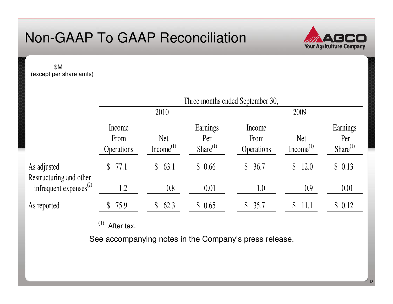

\$M (except per share amts)

|                                        | Three months ended September 30,    |                                     |                                   |                                     |                                     |                                  |
|----------------------------------------|-------------------------------------|-------------------------------------|-----------------------------------|-------------------------------------|-------------------------------------|----------------------------------|
|                                        | 2010                                |                                     | 2009                              |                                     |                                     |                                  |
|                                        | Income<br>From<br><b>Operations</b> | <b>Net</b><br>Income <sup>(1)</sup> | Earnings<br>Per<br>Share $^{(1)}$ | Income<br>From<br><b>Operations</b> | <b>Net</b><br>Income <sup>(1)</sup> | Earnings<br>Per<br>$Share^{(1)}$ |
| As adjusted<br>Restructuring and other | 77.1<br>$\mathbb{S}^-$              | 63.1<br>$\mathbb{S}^-$              | \$0.66                            | 36.7<br>$\mathbb{S}$                | 12.0<br>$\mathbb S$                 | \$0.13                           |
| infrequent expenses $^{(2)}$           | 1.2                                 | 0.8                                 | 0.01                              | 1.0                                 | 0.9                                 | 0.01                             |
| As reported                            | \$75.9                              | 62.3<br>$\mathcal{S}$               | \$0.65                            | 35.7<br>S.                          | 11.1<br>S.                          | \$0.12                           |

 $(1)$  After tax.

See accompanying notes in the Company's press release.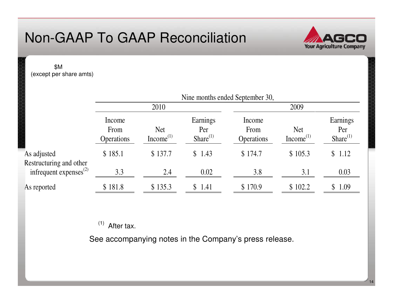

14

\$M (except per share amts)

|                                        | Nine months ended September 30,     |                                     |                                   |                              |                                     |                                  |
|----------------------------------------|-------------------------------------|-------------------------------------|-----------------------------------|------------------------------|-------------------------------------|----------------------------------|
|                                        | 2010                                |                                     | 2009                              |                              |                                     |                                  |
|                                        | Income<br>From<br><b>Operations</b> | <b>Net</b><br>Income <sup>(1)</sup> | Earnings<br>Per<br>Share $^{(1)}$ | Income<br>From<br>Operations | <b>Net</b><br>Income <sup>(1)</sup> | Earnings<br>Per<br>$Share^{(1)}$ |
| As adjusted<br>Restructuring and other | \$185.1                             | \$137.7                             | \$1.43                            | \$174.7                      | \$105.3                             | \$1.12                           |
| infrequent expenses $^{(2)}$           | 3.3                                 | 2.4                                 | 0.02                              | 3.8                          | 3.1                                 | 0.03                             |
| As reported                            | \$181.8                             | \$135.3                             | \$1.41                            | \$170.9                      | \$102.2                             | \$1.09                           |

 $(1)$  After tax.

See accompanying notes in the Company's press release.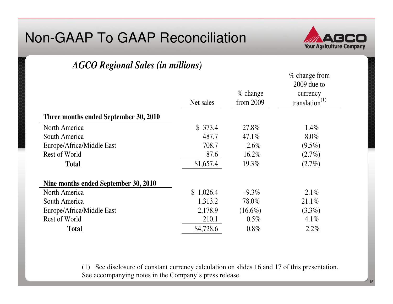

% change from

## *AGCO Regional Sales (in millions)*

|                                       |           |             | $\sim$ change nome<br>$2009$ due to |
|---------------------------------------|-----------|-------------|-------------------------------------|
|                                       |           | $\%$ change | currency                            |
|                                       | Net sales | from $2009$ | translation $^{(1)}$                |
| Three months ended September 30, 2010 |           |             |                                     |
| North America                         | \$373.4   | 27.8%       | $1.4\%$                             |
| South America                         | 487.7     | 47.1%       | $8.0\%$                             |
| Europe/Africa/Middle East             | 708.7     | $2.6\%$     | $(9.5\%)$                           |
| Rest of World                         | 87.6      | 16.2%       | $(2.7\%)$                           |
| <b>Total</b>                          | \$1,657.4 | 19.3%       | $(2.7\%)$                           |
| Nine months ended September 30, 2010  |           |             |                                     |
| North America                         | \$1,026.4 | $-9.3\%$    | $2.1\%$                             |
| South America                         | 1,313.2   | 78.0%       | 21.1%                               |
| Europe/Africa/Middle East             | 2,178.9   | $(16.6\%)$  | $(3.3\%)$                           |
| Rest of World                         | 210.1     | $0.5\%$     | 4.1%                                |
| <b>Total</b>                          | \$4,728.6 | $0.8\%$     | 2.2%                                |

(1) See disclosure of constant currency calculation on slides 16 and 17 of this presentation. See accompanying notes in the Company's press release.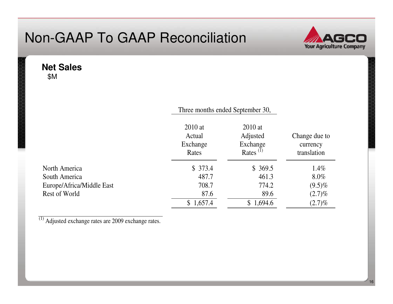

**Net Sales**\$M

|                           | Three months ended September 30,         |                                                                        |                                          |
|---------------------------|------------------------------------------|------------------------------------------------------------------------|------------------------------------------|
|                           | $2010$ at<br>Actual<br>Exchange<br>Rates | $2010$ at<br>Adjusted<br>Exchange<br>Rates <sup><math>(1)</math></sup> | Change due to<br>currency<br>translation |
| North America             | \$373.4                                  | \$369.5                                                                | $1.4\%$                                  |
| South America             | 487.7                                    | 461.3                                                                  | $8.0\%$                                  |
| Europe/Africa/Middle East | 708.7                                    | 774.2                                                                  | $(9.5)\%$                                |
| Rest of World             | 87.6                                     | 89.6                                                                   | $(2.7)\%$                                |
|                           | \$1,657.4                                | \$1,694.6                                                              | $(2.7)\%$                                |

 $(1)$  Adjusted exchange rates are 2009 exchange rates.